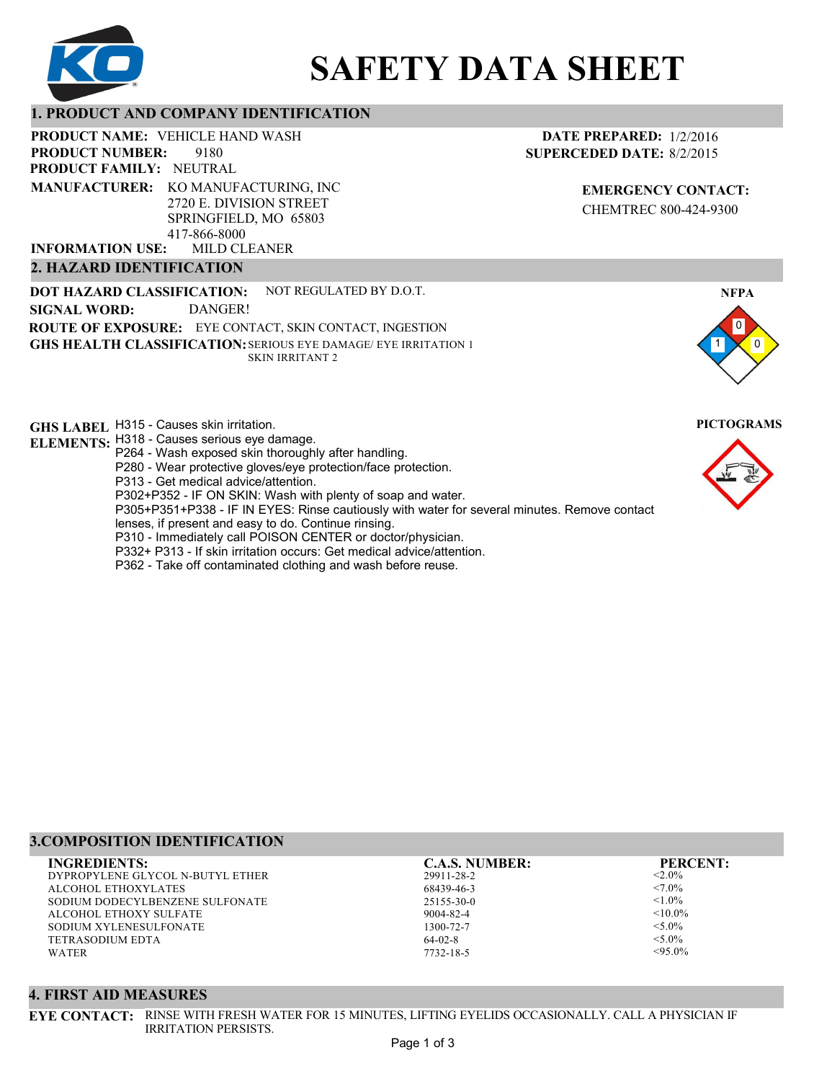

# **SAFETY DATA SHEET**

# **1. PRODUCT AND COMPANY IDENTIFICATION**

PRODUCT NAME: VEHICLE HAND WASH

9180 **PRODUCT FAMILY: NEUTRAL PRODUCT NUMBER: MANUFACTURER:** KO MANUFACTURING, INC

2720 E. DIVISION STREET SPRINGFIELD, MO 65803 417-866-8000

MILD CLEANER **INFORMATION USE:**

# **2. HAZARD IDENTIFICATION**

**DOT HAZARD CLASSIFICATION: GHS HEALTH CLASSIFICATION:** SERIOUS EYE DAMAGE/ EYE IRRITATION 1 **ROUTE OF EXPOSURE:** EYE CONTACT, SKIN CONTACT, INGESTION NOT REGULATED BY D.O.T. SKIN IRRITANT 2 **SIGNAL WORD:** DANGER!

**GHS LABEL**  H315 - Causes skin irritation. **PICTOGRAMS**

- **ELEMENTS:** H318 Causes serious eye damage. P264 - Wash exposed skin thoroughly after handling.
	- P280 Wear protective gloves/eye protection/face protection.

P313 - Get medical advice/attention.

P302+P352 - IF ON SKIN: Wash with plenty of soap and water.

P305+P351+P338 - IF IN EYES: Rinse cautiously with water for several minutes. Remove contact

- lenses, if present and easy to do. Continue rinsing.
- P310 Immediately call POISON CENTER or doctor/physician.
- P332+ P313 If skin irritation occurs: Get medical advice/attention.
- P362 Take off contaminated clothing and wash before reuse.

# **DATE PREPARED:** 1/2/2016 **SUPERCEDED DATE:** 8/2/2015

**EMERGENCY CONTACT:** CHEMTREC 800-424-9300





# **3.COMPOSITION IDENTIFICATION**

DYPROPYLENE GLYCOL N-BUTYL ETHER ALCOHOL ETHOXYLATES SODIUM DODECYLBENZENE SULFONATE ALCOHOL ETHOXY SULFATE SODIUM XYLENESULFONATE TETRASODIUM EDTA WATER **INGREDIENTS: C.A.S. NUMBER: PERCENT:**

29911-28-2 68439-46-3 25155-30-0 9004-82-4 1300-72-7 64-02-8

7732-18-5

 $< 2.0\%$  $< 7.0\%$  $1.0\%$  $< 10.0\%$  $< 5.0\%$  $<$ 5.0%  $< 95.0%$ 

#### **4. FIRST AID MEASURES**

**EYE CONTACT:** RINSE WITH FRESH WATER FOR 15 MINUTES, LIFTING EYELIDS OCCASIONALLY. CALL A PHYSICIAN IF IRRITATION PERSISTS.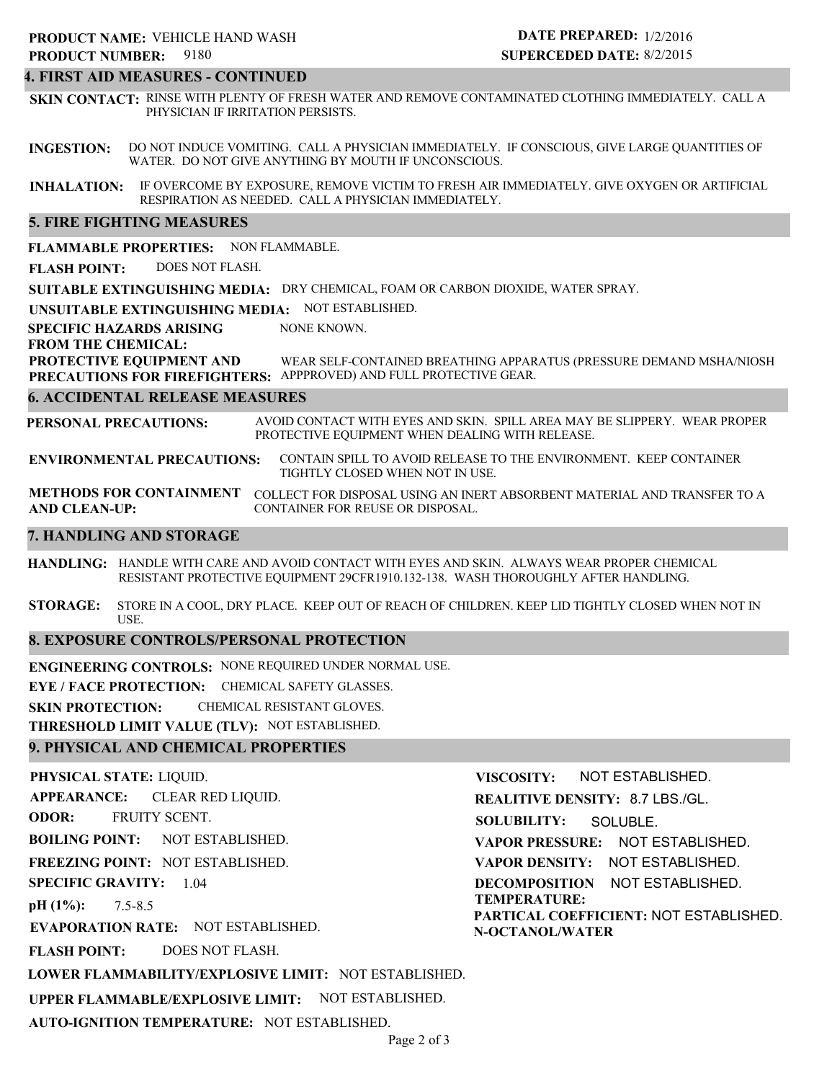#### **4. FIRST AID MEASURES - CONTINUED**

**SKIN CONTACT:** RINSE WITH PLENTY OF FRESH WATER AND REMOVE CONTAMINATED CLOTHING IMMEDIATELY. CALL A PHYSICIAN IF IRRITATION PERSISTS.

**INGESTION:** DO NOT INDUCE VOMITING. CALL A PHYSICIAN IMMEDIATELY. IF CONSCIOUS, GIVE LARGE QUANTITIES OF WATER. DO NOT GIVE ANYTHING BY MOUTH IF UNCONSCIOUS.

**INHALATION:** IF OVERCOME BY EXPOSURE, REMOVE VICTIM TO FRESH AIR IMMEDIATELY. GIVE OXYGEN OR ARTIFICIAL RESPIRATION AS NEEDED. CALL A PHYSICIAN IMMEDIATELY.

#### **5. FIRE FIGHTING MEASURES**

**FLAMMABLE PROPERTIES:** NON FLAMMABLE.

**FLASH POINT:** DOES NOT FLASH.

**SUITABLE EXTINGUISHING MEDIA:** DRY CHEMICAL, FOAM OR CARBON DIOXIDE, WATER SPRAY.

**UNSUITABLE EXTINGUISHING MEDIA:** NOT ESTABLISHED.

**SPECIFIC HAZARDS ARISING** NONE KNOWN.

**FROM THE CHEMICAL:**

**PROTECTIVE EQUIPMENT AND PRECAUTIONS FOR FIREFIGHTERS:** APPPROVED) AND FULL PROTECTIVE GEAR. WEAR SELF-CONTAINED BREATHING APPARATUS (PRESSURE DEMAND MSHA/NIOSH

#### **6. ACCIDENTAL RELEASE MEASURES**

**PERSONAL PRECAUTIONS:** AVOID CONTACT WITH EYES AND SKIN. SPILL AREA MAY BE SLIPPERY. WEAR PROPER PROTECTIVE EQUIPMENT WHEN DEALING WITH RELEASE.

**ENVIRONMENTAL PRECAUTIONS:** CONTAIN SPILL TO AVOID RELEASE TO THE ENVIRONMENT. KEEP CONTAINER TIGHTLY CLOSED WHEN NOT IN USE.

**METHODS FOR CONTAINMENT** COLLECT FOR DISPOSAL USING AN INERT ABSORBENT MATERIAL AND TRANSFER TO A **AND CLEAN-UP:** CONTAINER FOR REUSE OR DISPOSAL.

#### **7. HANDLING AND STORAGE**

**HANDLING:** HANDLE WITH CARE AND AVOID CONTACT WITH EYES AND SKIN. ALWAYS WEAR PROPER CHEMICAL RESISTANT PROTECTIVE EQUIPMENT 29CFR1910.132-138. WASH THOROUGHLY AFTER HANDLING.

**STORAGE:** STORE IN A COOL, DRY PLACE. KEEP OUT OF REACH OF CHILDREN. KEEP LID TIGHTLY CLOSED WHEN NOT IN USE.

#### **8. EXPOSURE CONTROLS/PERSONAL PROTECTION**

**ENGINEERING CONTROLS:** NONE REQUIRED UNDER NORMAL USE.

**EYE / FACE PROTECTION:** CHEMICAL SAFETY GLASSES.

**SKIN PROTECTION:** CHEMICAL RESISTANT GLOVES.

**THRESHOLD LIMIT VALUE (TLV):** NOT ESTABLISHED.

#### **9. PHYSICAL AND CHEMICAL PROPERTIES**

**PHYSICAL STATE:** LIQUID. **APPEARANCE: ODOR: BOILING POINT:** NOT ESTABLISHED. **FREEZING POINT:** NOT ESTABLISHED. **SPECIFIC GRAVITY:** 1.04 **pH (1%): EVAPORATION RATE:** NOT ESTABLISHED. **FLASH POINT: LOWER FLAMMABILITY/EXPLOSIVE LIMIT:** NOT ESTABLISHED. **UPPER FLAMMABLE/EXPLOSIVE LIMIT:** NOT ESTABLISHED. 7.5-8.5 DOES NOT FLASH. CLEAR RED LIQUID. FRUITY SCENT. **VISCOSITY: REALITIVE DENSITY:** 8.7 LBS./GL. **SOLUBILITY: VAPOR PRESSURE:** NOT ESTABLISHED. **VAPOR DENSITY:** NOT ESTABLISHED. **DECOMPOSITION** NOT ESTABLISHED. **TEMPERATURE: PARTICAL COEFFICIENT:** NOT ESTABLISHED. **N-OCTANOL/WATER** NOT ESTABLISHED. SOLUBLE.

**AUTO-IGNITION TEMPERATURE:** NOT ESTABLISHED.